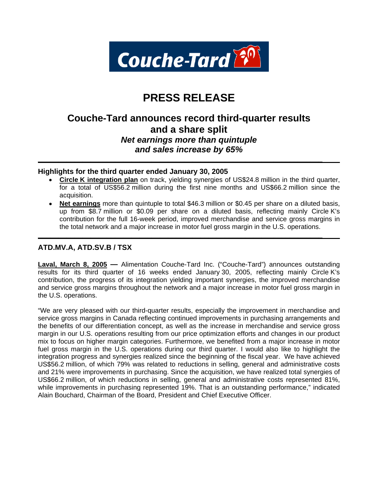

# **PRESS RELEASE**

# **Couche-Tard announces record third-quarter results and a share split** *Net earnings more than quintuple and sales increase by 65%*

**\_\_\_\_\_\_\_\_\_\_\_\_\_\_\_\_\_\_\_\_\_\_\_\_\_\_\_\_\_\_\_\_\_\_\_\_\_\_\_\_\_\_\_\_\_\_\_\_\_\_\_\_\_\_\_\_\_\_\_\_\_\_\_\_\_\_\_\_\_\_** 

**\_\_\_\_\_\_\_\_\_\_\_\_\_\_\_\_\_\_\_\_\_\_\_\_\_\_\_\_\_\_\_\_\_\_\_\_\_\_\_\_\_\_\_\_\_\_\_\_\_\_\_\_\_\_\_\_\_\_\_\_\_\_\_\_\_\_\_\_\_\_** 

# **Highlights for the third quarter ended January 30, 2005**

- **Circle K integration plan** on track, yielding synergies of US\$24.8 million in the third quarter, for a total of US\$56.2 million during the first nine months and US\$66.2 million since the acquisition.
- **Net earnings** more than quintuple to total \$46.3 million or \$0.45 per share on a diluted basis, up from \$8.7 million or \$0.09 per share on a diluted basis, reflecting mainly Circle K's contribution for the full 16-week period, improved merchandise and service gross margins in the total network and a major increase in motor fuel gross margin in the U.S. operations.

# **ATD.MV.A, ATD.SV.B / TSX**

**Laval, March 8, 2005 —** Alimentation Couche-Tard Inc. ("Couche-Tard") announces outstanding results for its third quarter of 16 weeks ended January 30, 2005, reflecting mainly Circle K's contribution, the progress of its integration yielding important synergies, the improved merchandise and service gross margins throughout the network and a major increase in motor fuel gross margin in the U.S. operations.

"We are very pleased with our third-quarter results, especially the improvement in merchandise and service gross margins in Canada reflecting continued improvements in purchasing arrangements and the benefits of our differentiation concept, as well as the increase in merchandise and service gross margin in our U.S. operations resulting from our price optimization efforts and changes in our product mix to focus on higher margin categories. Furthermore, we benefited from a major increase in motor fuel gross margin in the U.S. operations during our third quarter. I would also like to highlight the integration progress and synergies realized since the beginning of the fiscal year. We have achieved US\$56.2 million, of which 79% was related to reductions in selling, general and administrative costs and 21% were improvements in purchasing. Since the acquisition, we have realized total synergies of US\$66.2 million, of which reductions in selling, general and administrative costs represented 81%, while improvements in purchasing represented 19%. That is an outstanding performance," indicated Alain Bouchard, Chairman of the Board, President and Chief Executive Officer.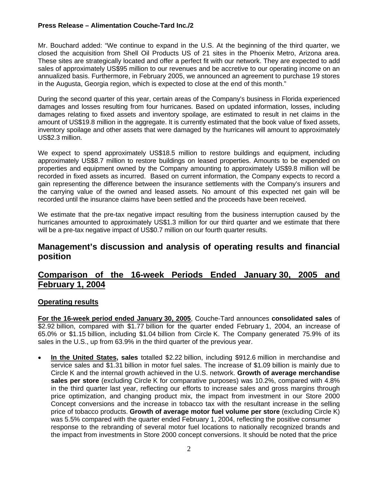Mr. Bouchard added: "We continue to expand in the U.S. At the beginning of the third quarter, we closed the acquisition from Shell Oil Products US of 21 sites in the Phoenix Metro, Arizona area. These sites are strategically located and offer a perfect fit with our network. They are expected to add sales of approximately US\$95 million to our revenues and be accretive to our operating income on an annualized basis. Furthermore, in February 2005, we announced an agreement to purchase 19 stores in the Augusta, Georgia region, which is expected to close at the end of this month."

During the second quarter of this year, certain areas of the Company's business in Florida experienced damages and losses resulting from four hurricanes. Based on updated information, losses, including damages relating to fixed assets and inventory spoilage, are estimated to result in net claims in the amount of US\$19.8 million in the aggregate. It is currently estimated that the book value of fixed assets, inventory spoilage and other assets that were damaged by the hurricanes will amount to approximately US\$2.3 million.

We expect to spend approximately US\$18.5 million to restore buildings and equipment, including approximately US\$8.7 million to restore buildings on leased properties. Amounts to be expended on properties and equipment owned by the Company amounting to approximately US\$9.8 million will be recorded in fixed assets as incurred. Based on current information, the Company expects to record a gain representing the difference between the insurance settlements with the Company's insurers and the carrying value of the owned and leased assets. No amount of this expected net gain will be recorded until the insurance claims have been settled and the proceeds have been received.

We estimate that the pre-tax negative impact resulting from the business interruption caused by the hurricanes amounted to approximately US\$1.3 million for our third quarter and we estimate that there will be a pre-tax negative impact of US\$0.7 million on our fourth quarter results.

# **Management's discussion and analysis of operating results and financial position**

# **Comparison of the 16-week Periods Ended January 30, 2005 and February 1, 2004**

# **Operating results**

**For the 16-week period ended January 30, 2005**, Couche-Tard announces **consolidated sales** of \$2.92 billion, compared with \$1.77 billion for the quarter ended February 1, 2004, an increase of 65.0% or \$1.15 billion, including \$1.04 billion from Circle K. The Company generated 75.9% of its sales in the U.S., up from 63.9% in the third quarter of the previous year.

• **In the United States, sales** totalled \$2.22 billion, including \$912.6 million in merchandise and service sales and \$1.31 billion in motor fuel sales. The increase of \$1.09 billion is mainly due to Circle K and the internal growth achieved in the U.S. network. **Growth of average merchandise sales per store** (excluding Circle K for comparative purposes) was 10.2%, compared with 4.8% in the third quarter last year, reflecting our efforts to increase sales and gross margins through price optimization, and changing product mix, the impact from investment in our Store 2000 Concept conversions and the increase in tobacco tax with the resultant increase in the selling price of tobacco products. **Growth of average motor fuel volume per store** (excluding Circle K) was 5.5% compared with the quarter ended February 1, 2004, reflecting the positive consumer response to the rebranding of several motor fuel locations to nationally recognized brands and the impact from investments in Store 2000 concept conversions. It should be noted that the price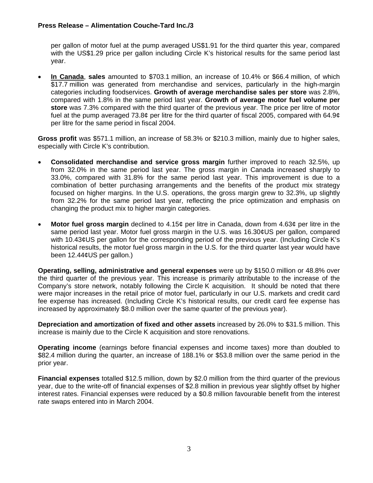per gallon of motor fuel at the pump averaged US\$1.91 for the third quarter this year, compared with the US\$1.29 price per gallon including Circle K's historical results for the same period last year.

• **In Canada**, **sales** amounted to \$703.1 million, an increase of 10.4% or \$66.4 million, of which \$17.7 million was generated from merchandise and services, particularly in the high-margin categories including foodservices. **Growth of average merchandise sales per store** was 2.8%, compared with 1.8% in the same period last year. **Growth of average motor fuel volume per store** was 7.3% compared with the third quarter of the previous year. The price per litre of motor fuel at the pump averaged 73.8¢ per litre for the third quarter of fiscal 2005, compared with 64.9¢ per litre for the same period in fiscal 2004.

**Gross profit** was \$571.1 million, an increase of 58.3% or \$210.3 million, mainly due to higher sales, especially with Circle K's contribution.

- **Consolidated merchandise and service gross margin** further improved to reach 32.5%, up from 32.0% in the same period last year. The gross margin in Canada increased sharply to 33.0%, compared with 31.8% for the same period last year. This improvement is due to a combination of better purchasing arrangements and the benefits of the product mix strategy focused on higher margins. In the U.S. operations, the gross margin grew to 32.3%, up slightly from 32.2% for the same period last year, reflecting the price optimization and emphasis on changing the product mix to higher margin categories.
- **Motor fuel gross margin** declined to 4.15¢ per litre in Canada, down from 4.63¢ per litre in the same period last year. Motor fuel gross margin in the U.S. was 16.30¢US per gallon, compared with 10.43¢US per gallon for the corresponding period of the previous year. (Including Circle K's historical results, the motor fuel gross margin in the U.S. for the third quarter last year would have been 12.44¢US per gallon.)

**Operating, selling, administrative and general expenses** were up by \$150.0 million or 48.8% over the third quarter of the previous year. This increase is primarily attributable to the increase of the Company's store network, notably following the Circle K acquisition. It should be noted that there were major increases in the retail price of motor fuel, particularly in our U.S. markets and credit card fee expense has increased. (Including Circle K's historical results, our credit card fee expense has increased by approximately \$8.0 million over the same quarter of the previous year).

**Depreciation and amortization of fixed and other assets** increased by 26.0% to \$31.5 million. This increase is mainly due to the Circle K acquisition and store renovations.

**Operating income** (earnings before financial expenses and income taxes) more than doubled to \$82.4 million during the quarter, an increase of 188.1% or \$53.8 million over the same period in the prior year.

**Financial expenses** totalled \$12.5 million, down by \$2.0 million from the third quarter of the previous year, due to the write-off of financial expenses of \$2.8 million in previous year slightly offset by higher interest rates. Financial expenses were reduced by a \$0.8 million favourable benefit from the interest rate swaps entered into in March 2004.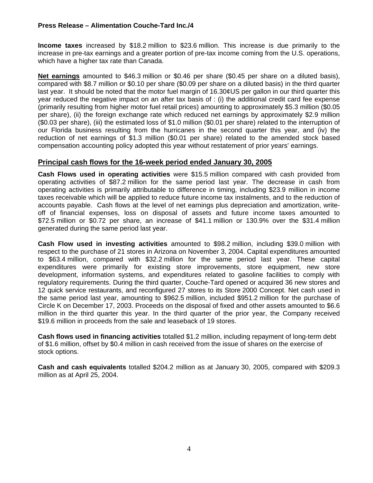**Income taxes** increased by \$18.2 million to \$23.6 million. This increase is due primarily to the increase in pre-tax earnings and a greater portion of pre-tax income coming from the U.S. operations, which have a higher tax rate than Canada.

**Net earnings** amounted to \$46.3 million or \$0.46 per share (\$0.45 per share on a diluted basis), compared with \$8.7 million or \$0.10 per share (\$0.09 per share on a diluted basis) in the third quarter last year. It should be noted that the motor fuel margin of 16.30¢US per gallon in our third quarter this year reduced the negative impact on an after tax basis of : (i) the additional credit card fee expense (primarily resulting from higher motor fuel retail prices) amounting to approximately \$5.3 million (\$0.05 per share), (ii) the foreign exchange rate which reduced net earnings by approximately \$2.9 million (\$0.03 per share), (iii) the estimated loss of \$1.0 million (\$0.01 per share) related to the interruption of our Florida business resulting from the hurricanes in the second quarter this year, and (iv) the reduction of net earnings of \$1.3 million (\$0.01 per share) related to the amended stock based compensation accounting policy adopted this year without restatement of prior years' earnings.

# **Principal cash flows for the 16-week period ended January 30, 2005**

**Cash Flows used in operating activities** were \$15.5 million compared with cash provided from operating activities of \$87.2 million for the same period last year. The decrease in cash from operating activities is primarily attributable to difference in timing, including \$23.9 million in income taxes receivable which will be applied to reduce future income tax instalments, and to the reduction of accounts payable. Cash flows at the level of net earnings plus depreciation and amortization, writeoff of financial expenses, loss on disposal of assets and future income taxes amounted to \$72.5 million or \$0.72 per share, an increase of \$41.1 million or 130.9% over the \$31.4 million generated during the same period last year.

**Cash Flow used in investing activities** amounted to \$98.2 million, including \$39.0 million with respect to the purchase of 21 stores in Arizona on November 3, 2004. Capital expenditures amounted to \$63.4 million, compared with \$32.2 million for the same period last year. These capital expenditures were primarily for existing store improvements, store equipment, new store development, information systems, and expenditures related to gasoline facilities to comply with regulatory requirements. During the third quarter, Couche-Tard opened or acquired 36 new stores and 12 quick service restaurants, and reconfigured 27 stores to its Store 2000 Concept. Net cash used in the same period last year, amounting to \$962.5 million, included \$951.2 million for the purchase of Circle K on December 17, 2003. Proceeds on the disposal of fixed and other assets amounted to \$6.6 million in the third quarter this year. In the third quarter of the prior year, the Company received \$19.6 million in proceeds from the sale and leaseback of 19 stores.

**Cash flows used in financing activities** totalled \$1.2 million, including repayment of long-term debt of \$1.6 million, offset by \$0.4 million in cash received from the issue of shares on the exercise of stock options.

**Cash and cash equivalents** totalled \$204.2 million as at January 30, 2005, compared with \$209.3 million as at April 25, 2004.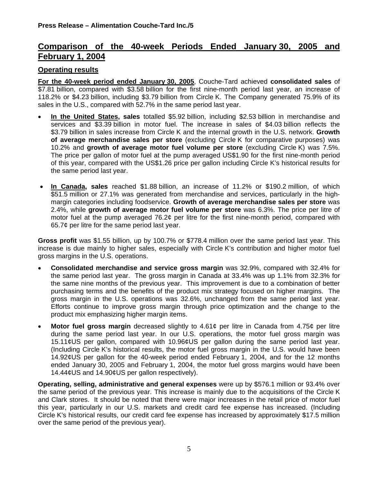# **Comparison of the 40-week Periods Ended January 30, 2005 and February 1, 2004**

# **Operating results**

**For the 40-week period ended January 30, 2005**, Couche-Tard achieved **consolidated sales** of \$7.81 billion, compared with \$3.58 billion for the first nine-month period last year, an increase of 118.2% or \$4.23 billion, including \$3.79 billion from Circle K. The Company generated 75.9% of its sales in the U.S., compared with 52.7% in the same period last year.

- **In the United States, sales** totalled \$5.92 billion, including \$2.53 billion in merchandise and services and \$3.39 billion in motor fuel. The increase in sales of \$4.03 billion reflects the \$3.79 billion in sales increase from Circle K and the internal growth in the U.S. network. **Growth of average merchandise sales per store** (excluding Circle K for comparative purposes) was 10.2% and **growth of average motor fuel volume per store** (excluding Circle K) was 7.5%. The price per gallon of motor fuel at the pump averaged US\$1.90 for the first nine-month period of this year, compared with the US\$1.26 price per gallon including Circle K's historical results for the same period last year.
- **In Canada, sales** reached \$1.88 billion, an increase of 11.2% or \$190.2 million, of which \$51.5 million or 27.1% was generated from merchandise and services, particularly in the highmargin categories including foodservice. **Growth of average merchandise sales per store** was 2.4%, while **growth of average motor fuel volume per store** was 6.3%. The price per litre of motor fuel at the pump averaged 76.2¢ per litre for the first nine-month period, compared with 65.7¢ per litre for the same period last year.

**Gross profit** was \$1.55 billion, up by 100.7% or \$778.4 million over the same period last year. This increase is due mainly to higher sales, especially with Circle K's contribution and higher motor fuel gross margins in the U.S. operations.

- **Consolidated merchandise and service gross margin** was 32.9%, compared with 32.4% for the same period last year. The gross margin in Canada at 33.4% was up 1.1% from 32.3% for the same nine months of the previous year. This improvement is due to a combination of better purchasing terms and the benefits of the product mix strategy focused on higher margins. The gross margin in the U.S. operations was 32.6%, unchanged from the same period last year. Efforts continue to improve gross margin through price optimization and the change to the product mix emphasizing higher margin items.
- **Motor fuel gross margin** decreased slightly to 4.61¢ per litre in Canada from 4.75¢ per litre during the same period last year. In our U.S. operations, the motor fuel gross margin was 15.11¢US per gallon, compared with 10.96¢US per gallon during the same period last year. (Including Circle K's historical results, the motor fuel gross margin in the U.S. would have been 14.92¢US per gallon for the 40-week period ended February 1, 2004, and for the 12 months ended January 30, 2005 and February 1, 2004, the motor fuel gross margins would have been 14.44¢US and 14.90¢US per gallon respectively).

**Operating, selling, administrative and general expenses** were up by \$576.1 million or 93.4% over the same period of the previous year. This increase is mainly due to the acquisitions of the Circle K and Clark stores. It should be noted that there were major increases in the retail price of motor fuel this year, particularly in our U.S. markets and credit card fee expense has increased. (Including Circle K's historical results, our credit card fee expense has increased by approximately \$17.5 million over the same period of the previous year).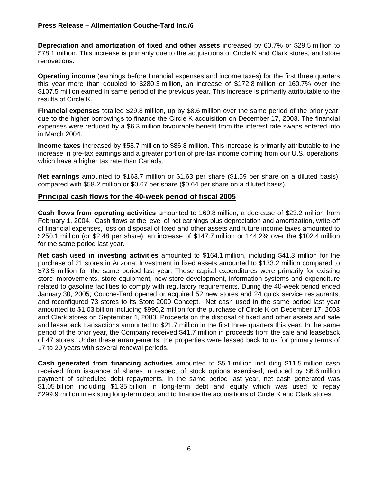**Depreciation and amortization of fixed and other assets** increased by 60.7% or \$29.5 million to \$78.1 million. This increase is primarily due to the acquisitions of Circle K and Clark stores, and store renovations.

**Operating income** (earnings before financial expenses and income taxes) for the first three quarters this year more than doubled to \$280.3 million, an increase of \$172.8 million or 160.7% over the \$107.5 million earned in same period of the previous year. This increase is primarily attributable to the results of Circle K.

**Financial expenses** totalled \$29.8 million, up by \$8.6 million over the same period of the prior year, due to the higher borrowings to finance the Circle K acquisition on December 17, 2003. The financial expenses were reduced by a \$6.3 million favourable benefit from the interest rate swaps entered into in March 2004.

**Income taxes** increased by \$58.7 million to \$86.8 million. This increase is primarily attributable to the increase in pre-tax earnings and a greater portion of pre-tax income coming from our U.S. operations, which have a higher tax rate than Canada.

**Net earnings** amounted to \$163.7 million or \$1.63 per share (\$1.59 per share on a diluted basis), compared with \$58.2 million or \$0.67 per share (\$0.64 per share on a diluted basis).

### **Principal cash flows for the 40-week period of fiscal 2005**

**Cash flows from operating activities** amounted to 169.8 million, a decrease of \$23.2 million from February 1, 2004. Cash flows at the level of net earnings plus depreciation and amortization, write-off of financial expenses, loss on disposal of fixed and other assets and future income taxes amounted to \$250.1 million (or \$2.48 per share), an increase of \$147.7 million or 144.2% over the \$102.4 million for the same period last year.

**Net cash used in investing activities** amounted to \$164.1 million, including \$41.3 million for the purchase of 21 stores in Arizona. Investment in fixed assets amounted to \$133.2 million compared to \$73.5 million for the same period last year. These capital expenditures were primarily for existing store improvements, store equipment, new store development, information systems and expenditure related to gasoline facilities to comply with regulatory requirements. During the 40-week period ended January 30, 2005, Couche-Tard opened or acquired 52 new stores and 24 quick service restaurants, and reconfigured 73 stores to its Store 2000 Concept. Net cash used in the same period last year amounted to \$1.03 billion including \$996,2 million for the purchase of Circle K on December 17, 2003 and Clark stores on September 4, 2003. Proceeds on the disposal of fixed and other assets and sale and leaseback transactions amounted to \$21.7 million in the first three quarters this year. In the same period of the prior year, the Company received \$41.7 million in proceeds from the sale and leaseback of 47 stores. Under these arrangements, the properties were leased back to us for primary terms of 17 to 20 years with several renewal periods.

**Cash generated from financing activities** amounted to \$5.1 million including \$11.5 million cash received from issuance of shares in respect of stock options exercised, reduced by \$6.6 million payment of scheduled debt repayments. In the same period last year, net cash generated was \$1.05 billion including \$1.35 billion in long-term debt and equity which was used to repay \$299.9 million in existing long-term debt and to finance the acquisitions of Circle K and Clark stores.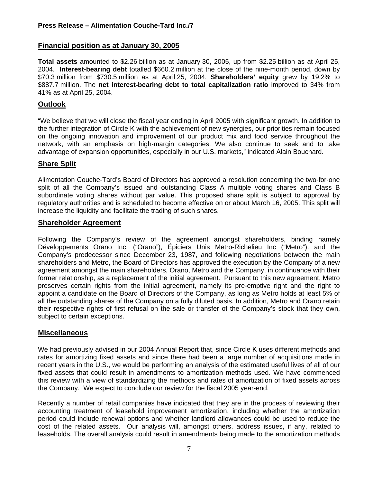# **Financial position as at January 30, 2005**

**Total assets** amounted to \$2.26 billion as at January 30, 2005, up from \$2.25 billion as at April 25, 2004. **Interest-bearing debt** totalled \$660.2 million at the close of the nine-month period, down by \$70.3 million from \$730.5 million as at April 25, 2004. **Shareholders' equity** grew by 19.2% to \$887.7 million. The **net interest-bearing debt to total capitalization ratio** improved to 34% from 41% as at April 25, 2004.

# **Outlook**

"We believe that we will close the fiscal year ending in April 2005 with significant growth. In addition to the further integration of Circle K with the achievement of new synergies, our priorities remain focused on the ongoing innovation and improvement of our product mix and food service throughout the network, with an emphasis on high-margin categories. We also continue to seek and to take advantage of expansion opportunities, especially in our U.S. markets," indicated Alain Bouchard.

# **Share Split**

Alimentation Couche-Tard's Board of Directors has approved a resolution concerning the two-for-one split of all the Company's issued and outstanding Class A multiple voting shares and Class B subordinate voting shares without par value. This proposed share split is subject to approval by regulatory authorities and is scheduled to become effective on or about March 16, 2005. This split will increase the liquidity and facilitate the trading of such shares.

### **Shareholder Agreement**

Following the Company's review of the agreement amongst shareholders, binding namely Développements Orano Inc. ("Orano"), Épiciers Unis Metro-Richelieu Inc ("Metro"). and the Company's predecessor since December 23, 1987, and following negotiations between the main shareholders and Metro, the Board of Directors has approved the execution by the Company of a new agreement amongst the main shareholders, Orano, Metro and the Company, in continuance with their former relationship, as a replacement of the initial agreement. Pursuant to this new agreement, Metro preserves certain rights from the initial agreement, namely its pre-emptive right and the right to appoint a candidate on the Board of Directors of the Company, as long as Metro holds at least 5% of all the outstanding shares of the Company on a fully diluted basis. In addition, Metro and Orano retain their respective rights of first refusal on the sale or transfer of the Company's stock that they own, subject to certain exceptions.

# **Miscellaneous**

We had previously advised in our 2004 Annual Report that, since Circle K uses different methods and rates for amortizing fixed assets and since there had been a large number of acquisitions made in recent years in the U.S., we would be performing an analysis of the estimated useful lives of all of our fixed assets that could result in amendments to amortization methods used. We have commenced this review with a view of standardizing the methods and rates of amortization of fixed assets across the Company. We expect to conclude our review for the fiscal 2005 year-end.

Recently a number of retail companies have indicated that they are in the process of reviewing their accounting treatment of leasehold improvement amortization, including whether the amortization period could include renewal options and whether landlord allowances could be used to reduce the cost of the related assets. Our analysis will, amongst others, address issues, if any, related to leaseholds. The overall analysis could result in amendments being made to the amortization methods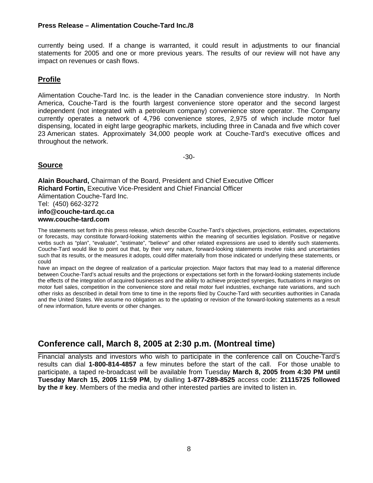currently being used. If a change is warranted, it could result in adjustments to our financial statements for 2005 and one or more previous years. The results of our review will not have any impact on revenues or cash flows.

# **Profile**

Alimentation Couche-Tard Inc. is the leader in the Canadian convenience store industry. In North America, Couche-Tard is the fourth largest convenience store operator and the second largest independent (not integrated with a petroleum company) convenience store operator. The Company currently operates a network of 4,796 convenience stores, 2,975 of which include motor fuel dispensing, located in eight large geographic markets, including three in Canada and five which cover 23 American states. Approximately 34,000 people work at Couche-Tard's executive offices and throughout the network.

-30-

# **Source**

**Alain Bouchard,** Chairman of the Board, President and Chief Executive Officer **Richard Fortin,** Executive Vice-President and Chief Financial Officer Alimentation Couche-Tard Inc. Tel: (450) 662-3272 **info@couche-tard.qc.ca www.couche-tard.com** 

The statements set forth in this press release, which describe Couche-Tard's objectives, projections, estimates, expectations or forecasts, may constitute forward-looking statements within the meaning of securities legislation. Positive or negative verbs such as "plan", "evaluate", "estimate", "believe" and other related expressions are used to identify such statements. Couche-Tard would like to point out that, by their very nature, forward-looking statements involve risks and uncertainties such that its results, or the measures it adopts, could differ materially from those indicated or underlying these statements, or could

have an impact on the degree of realization of a particular projection. Major factors that may lead to a material difference between Couche-Tard's actual results and the projections or expectations set forth in the forward-looking statements include the effects of the integration of acquired businesses and the ability to achieve projected synergies, fluctuations in margins on motor fuel sales, competition in the convenience store and retail motor fuel industries, exchange rate variations, and such other risks as described in detail from time to time in the reports filed by Couche-Tard with securities authorities in Canada and the United States. We assume no obligation as to the updating or revision of the forward-looking statements as a result of new information, future events or other changes.

#### **Conference call, March 8, 2005 at 2:30 p.m. (Montreal time)**   $\sim$

Financial analysts and investors who wish to participate in the conference call on Couche-Tard's results can dial **1-800-814-4857** a few minutes before the start of the call. For those unable to participate, a taped re-broadcast will be available from Tuesday **March 8, 2005 from 4:30 PM until Tuesday March 15, 2005 11:59 PM**, by dialling **1-877-289-8525** access code: **21115725 followed by the # key**. Members of the media and other interested parties are invited to listen in.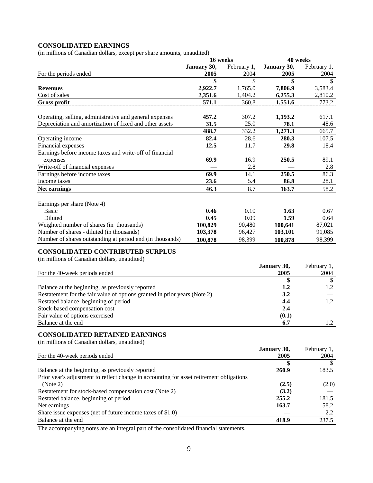# **CONSOLIDATED EARNINGS**

(in millions of Canadian dollars, except per share amounts, unaudited)

|                                                                                          | 16 weeks    |             | 40 weeks    |                  |
|------------------------------------------------------------------------------------------|-------------|-------------|-------------|------------------|
|                                                                                          | January 30, | February 1, | January 30, | February 1,      |
| For the periods ended                                                                    | 2005        | 2004        | 2005        | 2004             |
|                                                                                          | \$          | \$          | \$          | $\mathbb{S}$     |
| <b>Revenues</b>                                                                          | 2,922.7     | 1,765.0     | 7,806.9     | 3,583.4          |
| Cost of sales                                                                            | 2,351.6     | 1,404.2     | 6,255.3     | 2,810.2          |
| <b>Gross profit</b>                                                                      | 571.1       | 360.8       | 1,551.6     | 773.2            |
|                                                                                          |             |             |             |                  |
| Operating, selling, administrative and general expenses                                  | 457.2       | 307.2       | 1,193.2     | 617.1            |
| Depreciation and amortization of fixed and other assets                                  | 31.5        | 25.0        | 78.1        | 48.6             |
|                                                                                          | 488.7       | 332.2       | 1,271.3     | 665.7            |
| Operating income                                                                         | 82.4        | 28.6        | 280.3       | 107.5            |
| Financial expenses                                                                       | 12.5        | 11.7        | 29.8        | 18.4             |
| Earnings before income taxes and write-off of financial                                  |             |             |             |                  |
|                                                                                          | 69.9        | 16.9        | 250.5       | 89.1             |
| expenses                                                                                 |             | 2.8         |             | 2.8              |
| Write-off of financial expenses                                                          |             |             |             |                  |
| Earnings before income taxes                                                             | 69.9        | 14.1        | 250.5       | 86.3             |
| Income taxes                                                                             | 23.6        | 5.4         | 86.8        | 28.1             |
| Net earnings                                                                             | 46.3        | 8.7         | 163.7       | 58.2             |
|                                                                                          |             |             |             |                  |
| Earnings per share (Note 4)                                                              |             |             |             |                  |
| <b>Basic</b>                                                                             | 0.46        | 0.10        | 1.63        | 0.67             |
| Diluted                                                                                  | 0.45        | 0.09        | 1.59        | 0.64             |
| Weighted number of shares (in thousands)                                                 | 100,829     | 90,480      | 100,641     | 87,021           |
| Number of shares - diluted (in thousands)                                                | 103,378     | 96,427      | 103,101     | 91,085           |
| Number of shares outstanding at period end (in thousands)                                | 100,878     | 98,399      | 100,878     | 98,399           |
|                                                                                          |             |             |             |                  |
| <b>CONSOLIDATED CONTRIBUTED SURPLUS</b>                                                  |             |             |             |                  |
| (in millions of Canadian dollars, unaudited)                                             |             |             |             |                  |
|                                                                                          |             |             | January 30, | February 1,      |
| For the 40-week periods ended                                                            |             |             | 2005        | 2004             |
|                                                                                          |             |             | \$          | $\mathcal{L}$    |
| Balance at the beginning, as previously reported                                         |             |             | 1.2         | 1.2              |
|                                                                                          |             |             |             |                  |
| Restatement for the fair value of options granted in prior years (Note 2)                |             |             | 3.2         |                  |
| Restated balance, beginning of period                                                    |             |             | 4.4         | $\overline{1.2}$ |
| Stock-based compensation cost                                                            |             |             | 2.4         |                  |
| Fair value of options exercised                                                          |             |             | (0.1)       |                  |
| Balance at the end                                                                       |             |             | 6.7         | 1.2              |
|                                                                                          |             |             |             |                  |
| <b>CONSOLIDATED RETAINED EARNINGS</b>                                                    |             |             |             |                  |
| (in millions of Canadian dollars, unaudited)                                             |             |             |             |                  |
|                                                                                          |             |             | January 30, | February 1,      |
| For the 40-week periods ended                                                            |             |             | 2005        | 2004             |
|                                                                                          |             |             | \$          | $\mathbb{S}$     |
| Balance at the beginning, as previously reported                                         |             |             | 260.9       | 183.5            |
| Prior year's adjustment to reflect change in accounting for asset retirement obligations |             |             |             |                  |
| (Note 2)                                                                                 |             |             | (2.5)       | (2.0)            |
| Restatement for stock-based compensation cost (Note 2)                                   |             |             | (3.2)       |                  |
| Restated balance, beginning of period                                                    |             |             | 255.2       | 181.5            |
| Net earnings                                                                             |             |             | 163.7       | 58.2             |
| Share issue expenses (net of future income taxes of \$1.0)                               |             |             |             | 2.2              |
| Balance at the end                                                                       |             |             | 418.9       | 237.5            |
|                                                                                          |             |             |             |                  |

The accompanying notes are an integral part of the consolidated financial statements.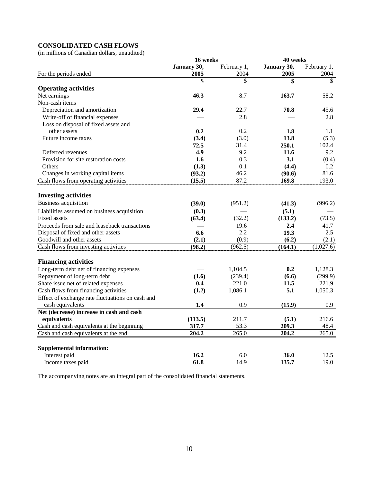# **CONSOLIDATED CASH FLOWS**

(in millions of Canadian dollars, unaudited)

|                                                  | 40 weeks<br>16 weeks |             |             |             |
|--------------------------------------------------|----------------------|-------------|-------------|-------------|
|                                                  | January 30,          | February 1, | January 30, | February 1, |
| For the periods ended                            | 2005                 | 2004        | 2005        | 2004        |
|                                                  | \$                   | \$          | \$          | \$          |
| <b>Operating activities</b>                      |                      |             |             |             |
| Net earnings                                     | 46.3                 | 8.7         | 163.7       | 58.2        |
| Non-cash items                                   |                      |             |             |             |
| Depreciation and amortization                    | 29.4                 | 22.7        | 70.8        | 45.6        |
| Write-off of financial expenses                  |                      | 2.8         |             | 2.8         |
| Loss on disposal of fixed assets and             |                      |             |             |             |
| other assets                                     | 0.2                  | 0.2         | 1.8         | 1.1         |
| Future income taxes                              | (3.4)                | (3.0)       | 13.8        | (5.3)       |
|                                                  | 72.5                 | 31.4        | 250.1       | 102.4       |
| Deferred revenues                                | 4.9                  | 9.2         | 11.6        | 9.2         |
| Provision for site restoration costs             | 1.6                  | 0.3         | 3.1         | (0.4)       |
| Others                                           | (1.3)                | 0.1         | (4.4)       | 0.2         |
| Changes in working capital items                 | (93.2)               | 46.2        | (90.6)      | 81.6        |
| Cash flows from operating activities             | (15.5)               | 87.2        | 169.8       | 193.0       |
|                                                  |                      |             |             |             |
| <b>Investing activities</b>                      |                      |             |             |             |
| <b>Business acquisition</b>                      | (39.0)               | (951.2)     | (41.3)      | (996.2)     |
| Liabilities assumed on business acquisition      | (0.3)                |             | (5.1)       |             |
| <b>Fixed assets</b>                              | (63.4)               | (32.2)      | (133.2)     | (73.5)      |
| Proceeds from sale and leaseback transactions    |                      | 19.6        | 2.4         | 41.7        |
| Disposal of fixed and other assets               | 6.6                  | 2.2         | 19.3        | 2.5         |
| Goodwill and other assets                        | (2.1)                | (0.9)       | (6.2)       | (2.1)       |
| Cash flows from investing activities             | (98.2)               | (962.5)     | (164.1)     | (1,027.6)   |
|                                                  |                      |             |             |             |
| <b>Financing activities</b>                      |                      |             |             |             |
| Long-term debt net of financing expenses         |                      | 1,104.5     | 0.2         | 1,128.3     |
| Repayment of long-term debt                      | (1.6)                | (239.4)     | (6.6)       | (299.9)     |
| Share issue net of related expenses              | 0.4                  | 221.0       | 11.5        | 221.9       |
| Cash flows from financing activities             | (1.2)                | 1,086.1     | 5.1         | 1,050.3     |
| Effect of exchange rate fluctuations on cash and |                      |             |             |             |
| cash equivalents                                 | 1.4                  | 0.9         | (15.9)      | 0.9         |
| Net (decrease) increase in cash and cash         |                      |             |             |             |
| equivalents                                      | (113.5)              | 211.7       | (5.1)       | 216.6       |
| Cash and cash equivalents at the beginning       | 317.7                | 53.3        | 209.3       | 48.4        |
| Cash and cash equivalents at the end             | 204.2                | 265.0       | 204.2       | 265.0       |
|                                                  |                      |             |             |             |
| <b>Supplemental information:</b>                 |                      |             |             |             |
| Interest paid                                    | 16.2                 | 6.0         | 36.0        | 12.5        |
| Income taxes paid                                | 61.8                 | 14.9        | 135.7       | 19.0        |

The accompanying notes are an integral part of the consolidated financial statements.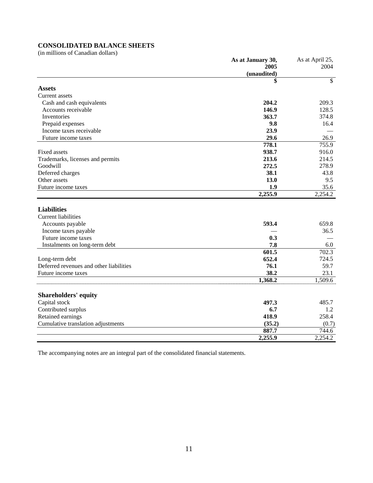# **CONSOLIDATED BALANCE SHEETS**

(in millions of Canadian dollars)

| (unaudited)<br>$\mathbb{S}$<br>\$<br><b>Assets</b><br>Current assets<br>204.2<br>209.3<br>Cash and cash equivalents<br>146.9<br>128.5<br>Accounts receivable<br>Inventories<br>363.7<br>374.8<br>9.8<br>Prepaid expenses<br>16.4<br>23.9<br>Income taxes receivable<br>29.6<br>26.9<br>Future income taxes<br>778.1<br>755.9<br>Fixed assets<br>938.7<br>916.0<br>213.6<br>214.5<br>Trademarks, licenses and permits<br>272.5<br>278.9<br>Goodwill<br>Deferred charges<br>38.1<br>43.8<br>13.0<br>9.5<br>Other assets<br>Future income taxes<br>35.6<br>1.9<br>2,255.9<br>2,254.2<br><b>Liabilities</b><br><b>Current liabilities</b><br>593.4<br>659.8<br>Accounts payable<br>36.5<br>Income taxes payable<br>0.3<br>Future income taxes<br>7.8<br>Instalments on long-term debt<br>6.0<br>601.5<br>702.3<br>652.4<br>724.5<br>Long-term debt<br>Deferred revenues and other liabilities<br>59.7<br>76.1<br>38.2<br>23.1<br>Future income taxes<br>1,368.2<br>1,509.6<br><b>Shareholders' equity</b><br>Capital stock<br>497.3<br>485.7<br>Contributed surplus<br>6.7<br>1.2<br>418.9<br>258.4<br>Retained earnings<br>(35.2)<br>Cumulative translation adjustments<br>(0.7)<br>887.7<br>744.6 | As at January 30, | As at April 25, |
|-------------------------------------------------------------------------------------------------------------------------------------------------------------------------------------------------------------------------------------------------------------------------------------------------------------------------------------------------------------------------------------------------------------------------------------------------------------------------------------------------------------------------------------------------------------------------------------------------------------------------------------------------------------------------------------------------------------------------------------------------------------------------------------------------------------------------------------------------------------------------------------------------------------------------------------------------------------------------------------------------------------------------------------------------------------------------------------------------------------------------------------------------------------------------------------------------|-------------------|-----------------|
|                                                                                                                                                                                                                                                                                                                                                                                                                                                                                                                                                                                                                                                                                                                                                                                                                                                                                                                                                                                                                                                                                                                                                                                                 | 2005              | 2004            |
|                                                                                                                                                                                                                                                                                                                                                                                                                                                                                                                                                                                                                                                                                                                                                                                                                                                                                                                                                                                                                                                                                                                                                                                                 |                   |                 |
|                                                                                                                                                                                                                                                                                                                                                                                                                                                                                                                                                                                                                                                                                                                                                                                                                                                                                                                                                                                                                                                                                                                                                                                                 |                   |                 |
|                                                                                                                                                                                                                                                                                                                                                                                                                                                                                                                                                                                                                                                                                                                                                                                                                                                                                                                                                                                                                                                                                                                                                                                                 |                   |                 |
|                                                                                                                                                                                                                                                                                                                                                                                                                                                                                                                                                                                                                                                                                                                                                                                                                                                                                                                                                                                                                                                                                                                                                                                                 |                   |                 |
|                                                                                                                                                                                                                                                                                                                                                                                                                                                                                                                                                                                                                                                                                                                                                                                                                                                                                                                                                                                                                                                                                                                                                                                                 |                   |                 |
|                                                                                                                                                                                                                                                                                                                                                                                                                                                                                                                                                                                                                                                                                                                                                                                                                                                                                                                                                                                                                                                                                                                                                                                                 |                   |                 |
|                                                                                                                                                                                                                                                                                                                                                                                                                                                                                                                                                                                                                                                                                                                                                                                                                                                                                                                                                                                                                                                                                                                                                                                                 |                   |                 |
|                                                                                                                                                                                                                                                                                                                                                                                                                                                                                                                                                                                                                                                                                                                                                                                                                                                                                                                                                                                                                                                                                                                                                                                                 |                   |                 |
|                                                                                                                                                                                                                                                                                                                                                                                                                                                                                                                                                                                                                                                                                                                                                                                                                                                                                                                                                                                                                                                                                                                                                                                                 |                   |                 |
|                                                                                                                                                                                                                                                                                                                                                                                                                                                                                                                                                                                                                                                                                                                                                                                                                                                                                                                                                                                                                                                                                                                                                                                                 |                   |                 |
|                                                                                                                                                                                                                                                                                                                                                                                                                                                                                                                                                                                                                                                                                                                                                                                                                                                                                                                                                                                                                                                                                                                                                                                                 |                   |                 |
|                                                                                                                                                                                                                                                                                                                                                                                                                                                                                                                                                                                                                                                                                                                                                                                                                                                                                                                                                                                                                                                                                                                                                                                                 |                   |                 |
|                                                                                                                                                                                                                                                                                                                                                                                                                                                                                                                                                                                                                                                                                                                                                                                                                                                                                                                                                                                                                                                                                                                                                                                                 |                   |                 |
|                                                                                                                                                                                                                                                                                                                                                                                                                                                                                                                                                                                                                                                                                                                                                                                                                                                                                                                                                                                                                                                                                                                                                                                                 |                   |                 |
|                                                                                                                                                                                                                                                                                                                                                                                                                                                                                                                                                                                                                                                                                                                                                                                                                                                                                                                                                                                                                                                                                                                                                                                                 |                   |                 |
|                                                                                                                                                                                                                                                                                                                                                                                                                                                                                                                                                                                                                                                                                                                                                                                                                                                                                                                                                                                                                                                                                                                                                                                                 |                   |                 |
|                                                                                                                                                                                                                                                                                                                                                                                                                                                                                                                                                                                                                                                                                                                                                                                                                                                                                                                                                                                                                                                                                                                                                                                                 |                   |                 |
|                                                                                                                                                                                                                                                                                                                                                                                                                                                                                                                                                                                                                                                                                                                                                                                                                                                                                                                                                                                                                                                                                                                                                                                                 |                   |                 |
|                                                                                                                                                                                                                                                                                                                                                                                                                                                                                                                                                                                                                                                                                                                                                                                                                                                                                                                                                                                                                                                                                                                                                                                                 |                   |                 |
|                                                                                                                                                                                                                                                                                                                                                                                                                                                                                                                                                                                                                                                                                                                                                                                                                                                                                                                                                                                                                                                                                                                                                                                                 |                   |                 |
|                                                                                                                                                                                                                                                                                                                                                                                                                                                                                                                                                                                                                                                                                                                                                                                                                                                                                                                                                                                                                                                                                                                                                                                                 |                   |                 |
|                                                                                                                                                                                                                                                                                                                                                                                                                                                                                                                                                                                                                                                                                                                                                                                                                                                                                                                                                                                                                                                                                                                                                                                                 |                   |                 |
|                                                                                                                                                                                                                                                                                                                                                                                                                                                                                                                                                                                                                                                                                                                                                                                                                                                                                                                                                                                                                                                                                                                                                                                                 |                   |                 |
|                                                                                                                                                                                                                                                                                                                                                                                                                                                                                                                                                                                                                                                                                                                                                                                                                                                                                                                                                                                                                                                                                                                                                                                                 |                   |                 |
|                                                                                                                                                                                                                                                                                                                                                                                                                                                                                                                                                                                                                                                                                                                                                                                                                                                                                                                                                                                                                                                                                                                                                                                                 |                   |                 |
|                                                                                                                                                                                                                                                                                                                                                                                                                                                                                                                                                                                                                                                                                                                                                                                                                                                                                                                                                                                                                                                                                                                                                                                                 |                   |                 |
|                                                                                                                                                                                                                                                                                                                                                                                                                                                                                                                                                                                                                                                                                                                                                                                                                                                                                                                                                                                                                                                                                                                                                                                                 |                   |                 |
|                                                                                                                                                                                                                                                                                                                                                                                                                                                                                                                                                                                                                                                                                                                                                                                                                                                                                                                                                                                                                                                                                                                                                                                                 |                   |                 |
|                                                                                                                                                                                                                                                                                                                                                                                                                                                                                                                                                                                                                                                                                                                                                                                                                                                                                                                                                                                                                                                                                                                                                                                                 |                   |                 |
|                                                                                                                                                                                                                                                                                                                                                                                                                                                                                                                                                                                                                                                                                                                                                                                                                                                                                                                                                                                                                                                                                                                                                                                                 |                   |                 |
|                                                                                                                                                                                                                                                                                                                                                                                                                                                                                                                                                                                                                                                                                                                                                                                                                                                                                                                                                                                                                                                                                                                                                                                                 |                   |                 |
|                                                                                                                                                                                                                                                                                                                                                                                                                                                                                                                                                                                                                                                                                                                                                                                                                                                                                                                                                                                                                                                                                                                                                                                                 |                   |                 |
|                                                                                                                                                                                                                                                                                                                                                                                                                                                                                                                                                                                                                                                                                                                                                                                                                                                                                                                                                                                                                                                                                                                                                                                                 |                   |                 |
|                                                                                                                                                                                                                                                                                                                                                                                                                                                                                                                                                                                                                                                                                                                                                                                                                                                                                                                                                                                                                                                                                                                                                                                                 |                   |                 |
|                                                                                                                                                                                                                                                                                                                                                                                                                                                                                                                                                                                                                                                                                                                                                                                                                                                                                                                                                                                                                                                                                                                                                                                                 |                   |                 |
| 2,255.9<br>2,254.2                                                                                                                                                                                                                                                                                                                                                                                                                                                                                                                                                                                                                                                                                                                                                                                                                                                                                                                                                                                                                                                                                                                                                                              |                   |                 |

The accompanying notes are an integral part of the consolidated financial statements.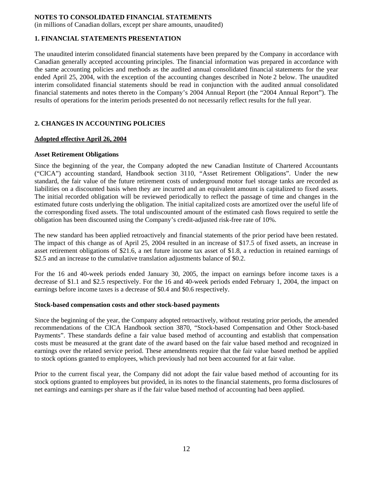(in millions of Canadian dollars, except per share amounts, unaudited)

### **1. FINANCIAL STATEMENTS PRESENTATION**

The unaudited interim consolidated financial statements have been prepared by the Company in accordance with Canadian generally accepted accounting principles. The financial information was prepared in accordance with the same accounting policies and methods as the audited annual consolidated financial statements for the year ended April 25, 2004, with the exception of the accounting changes described in Note 2 below. The unaudited interim consolidated financial statements should be read in conjunction with the audited annual consolidated financial statements and notes thereto in the Company's 2004 Annual Report (the "2004 Annual Report"). The results of operations for the interim periods presented do not necessarily reflect results for the full year.

### **2. CHANGES IN ACCOUNTING POLICIES**

#### **Adopted effective April 26, 2004**

#### **Asset Retirement Obligations**

Since the beginning of the year, the Company adopted the new Canadian Institute of Chartered Accountants ("CICA") accounting standard, Handbook section 3110, "Asset Retirement Obligations". Under the new standard, the fair value of the future retirement costs of underground motor fuel storage tanks are recorded as liabilities on a discounted basis when they are incurred and an equivalent amount is capitalized to fixed assets. The initial recorded obligation will be reviewed periodically to reflect the passage of time and changes in the estimated future costs underlying the obligation. The initial capitalized costs are amortized over the useful life of the corresponding fixed assets. The total undiscounted amount of the estimated cash flows required to settle the obligation has been discounted using the Company's credit-adjusted risk-free rate of 10%.

The new standard has been applied retroactively and financial statements of the prior period have been restated. The impact of this change as of April 25, 2004 resulted in an increase of \$17.5 of fixed assets, an increase in asset retirement obligations of \$21.6, a net future income tax asset of \$1.8, a reduction in retained earnings of \$2.5 and an increase to the cumulative translation adjustments balance of \$0.2.

For the 16 and 40-week periods ended January 30, 2005, the impact on earnings before income taxes is a decrease of \$1.1 and \$2.5 respectively. For the 16 and 40-week periods ended February 1, 2004, the impact on earnings before income taxes is a decrease of \$0.4 and \$0.6 respectively.

#### **Stock-based compensation costs and other stock-based payments**

Since the beginning of the year, the Company adopted retroactively, without restating prior periods, the amended recommendations of the CICA Handbook section 3870, "Stock-based Compensation and Other Stock-based Payments". These standards define a fair value based method of accounting and establish that compensation costs must be measured at the grant date of the award based on the fair value based method and recognized in earnings over the related service period. These amendments require that the fair value based method be applied to stock options granted to employees, which previously had not been accounted for at fair value.

Prior to the current fiscal year, the Company did not adopt the fair value based method of accounting for its stock options granted to employees but provided, in its notes to the financial statements, pro forma disclosures of net earnings and earnings per share as if the fair value based method of accounting had been applied.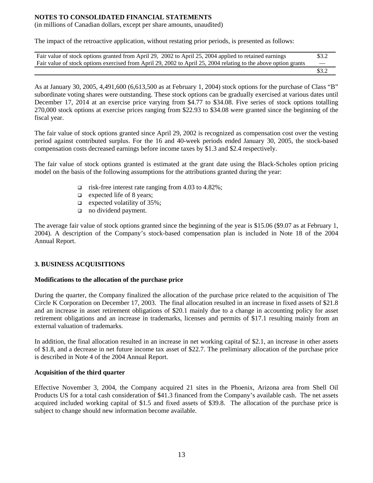(in millions of Canadian dollars, except per share amounts, unaudited)

The impact of the retroactive application, without restating prior periods, is presented as follows:

| Fair value of stock options granted from April 29, 2002 to April 25, 2004 applied to retained earnings          | \$3.2                    |
|-----------------------------------------------------------------------------------------------------------------|--------------------------|
| Fair value of stock options exercised from April 29, 2002 to April 25, 2004 relating to the above option grants | $\overline{\phantom{a}}$ |
|                                                                                                                 | \$3.2                    |

As at January 30, 2005, 4,491,600 (6,613,500 as at February 1, 2004) stock options for the purchase of Class "B" subordinate voting shares were outstanding. These stock options can be gradually exercised at various dates until December 17, 2014 at an exercise price varying from \$4.77 to \$34.08. Five series of stock options totalling 270,000 stock options at exercise prices ranging from \$22.93 to \$34.08 were granted since the beginning of the fiscal year.

The fair value of stock options granted since April 29, 2002 is recognized as compensation cost over the vesting period against contributed surplus. For the 16 and 40-week periods ended January 30, 2005, the stock-based compensation costs decreased earnings before income taxes by \$1.3 and \$2.4 respectively.

The fair value of stock options granted is estimated at the grant date using the Black-Scholes option pricing model on the basis of the following assumptions for the attributions granted during the year:

- $\Box$  risk-free interest rate ranging from 4.03 to 4.82%;
- $\Box$  expected life of 8 years;
- $\Box$  expected volatility of 35%;
- no dividend payment.

The average fair value of stock options granted since the beginning of the year is \$15.06 (\$9.07 as at February 1, 2004). A description of the Company's stock-based compensation plan is included in Note 18 of the 2004 Annual Report.

### **3. BUSINESS ACQUISITIONS**

### **Modifications to the allocation of the purchase price**

During the quarter, the Company finalized the allocation of the purchase price related to the acquisition of The Circle K Corporation on December 17, 2003. The final allocation resulted in an increase in fixed assets of \$21.8 and an increase in asset retirement obligations of \$20.1 mainly due to a change in accounting policy for asset retirement obligations and an increase in trademarks, licenses and permits of \$17.1 resulting mainly from an external valuation of trademarks.

In addition, the final allocation resulted in an increase in net working capital of \$2.1, an increase in other assets of \$1.8, and a decrease in net future income tax asset of \$22.7. The preliminary allocation of the purchase price is described in Note 4 of the 2004 Annual Report.

### **Acquisition of the third quarter**

Effective November 3, 2004, the Company acquired 21 sites in the Phoenix, Arizona area from Shell Oil Products US for a total cash consideration of \$41.3 financed from the Company's available cash. The net assets acquired included working capital of \$1.5 and fixed assets of \$39.8. The allocation of the purchase price is subject to change should new information become available.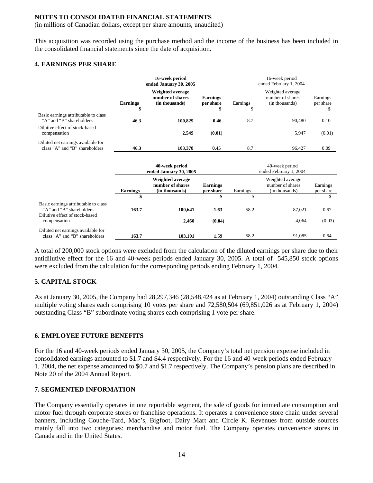(in millions of Canadian dollars, except per share amounts, unaudited)

This acquisition was recorded using the purchase method and the income of the business has been included in the consolidated financial statements since the date of acquisition.

### **4. EARNINGS PER SHARE**

|                                                                                                    | 16-week period<br>ended January 30, 2005 |                                                        |                              | 16-week period<br>ended February 1, 2004 |                                                        |                       |  |
|----------------------------------------------------------------------------------------------------|------------------------------------------|--------------------------------------------------------|------------------------------|------------------------------------------|--------------------------------------------------------|-----------------------|--|
|                                                                                                    | <b>Earnings</b>                          | Weighted average<br>number of shares<br>(in thousands) | <b>Earnings</b><br>per share | Earnings                                 | Weighted average<br>number of shares<br>(in thousands) | Earnings<br>per share |  |
|                                                                                                    | \$                                       |                                                        |                              | \$                                       |                                                        | \$                    |  |
| Basic earnings attributable to class<br>"A" and "B" shareholders                                   | 46.3                                     | 100,829                                                | 0.46                         | 8.7                                      | 90,480                                                 | 0.10                  |  |
| Dilutive effect of stock-based<br>compensation                                                     |                                          | 2.549                                                  | (0.01)                       |                                          | 5,947                                                  | (0.01)                |  |
| Diluted net earnings available for<br>class "A" and "B" shareholders                               | 46.3                                     | 103,378                                                | 0.45                         | 8.7                                      | 96,427                                                 | 0.09                  |  |
|                                                                                                    |                                          | 40-week period<br>ended January 30, 2005               |                              |                                          | 40-week period<br>ended February 1, 2004               |                       |  |
|                                                                                                    | <b>Earnings</b>                          | Weighted average<br>number of shares<br>(in thousands) | <b>Earnings</b><br>per share | Earnings                                 | Weighted average<br>number of shares<br>(in thousands) | Earnings<br>per share |  |
|                                                                                                    | \$                                       |                                                        | \$                           | \$                                       |                                                        | \$                    |  |
| Basic earnings attributable to class<br>"A" and "B" shareholders<br>Dilutive effect of stock-based | 163.7                                    | 100,641                                                | 1.63                         | 58.2                                     | 87,021                                                 | 0.67                  |  |
| compensation                                                                                       |                                          | 2,460                                                  | (0.04)                       |                                          | 4,064                                                  | (0.03)                |  |
| Diluted net earnings available for<br>class "A" and "B" shareholders                               | 163.7                                    | 103,101                                                | 1.59                         | 58.2                                     | 91,085                                                 | 0.64                  |  |

A total of 200,000 stock options were excluded from the calculation of the diluted earnings per share due to their antidilutive effect for the 16 and 40-week periods ended January 30, 2005. A total of 545,850 stock options were excluded from the calculation for the corresponding periods ending February 1, 2004.

# **5. CAPITAL STOCK**

As at January 30, 2005, the Company had 28,297,346 (28,548,424 as at February 1, 2004) outstanding Class "A" multiple voting shares each comprising 10 votes per share and 72,580,504 (69,851,026 as at February 1, 2004) outstanding Class "B" subordinate voting shares each comprising 1 vote per share.

# **6. EMPLOYEE FUTURE BENEFITS**

For the 16 and 40-week periods ended January 30, 2005, the Company's total net pension expense included in consolidated earnings amounted to \$1.7 and \$4.4 respectively. For the 16 and 40-week periods ended February 1, 2004, the net expense amounted to \$0.7 and \$1.7 respectively. The Company's pension plans are described in Note 20 of the 2004 Annual Report.

### **7. SEGMENTED INFORMATION**

The Company essentially operates in one reportable segment, the sale of goods for immediate consumption and motor fuel through corporate stores or franchise operations. It operates a convenience store chain under several banners, including Couche-Tard, Mac's, Bigfoot, Dairy Mart and Circle K. Revenues from outside sources mainly fall into two categories: merchandise and motor fuel. The Company operates convenience stores in Canada and in the United States.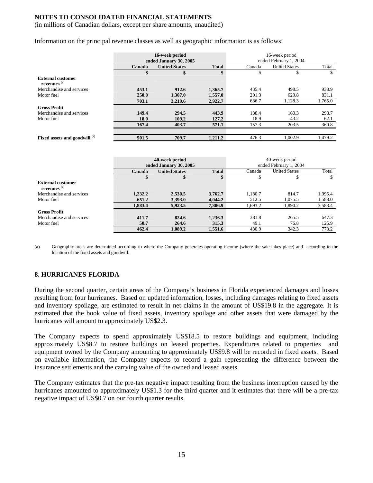(in millions of Canadian dollars, except per share amounts, unaudited)

Information on the principal revenue classes as well as geographic information is as follows:

|                                                     | 16-week period<br>ended January 30, 2005 |                      | 16-week period<br>ended February 1, 2004 |        |                      |         |
|-----------------------------------------------------|------------------------------------------|----------------------|------------------------------------------|--------|----------------------|---------|
|                                                     | Canada                                   | <b>United States</b> | <b>Total</b>                             | Canada | <b>United States</b> | Total   |
|                                                     | \$                                       | \$                   | \$                                       | \$     | D                    | \$      |
| <b>External customer</b><br>revenues <sup>(a)</sup> |                                          |                      |                                          |        |                      |         |
| Merchandise and services                            | 453.1                                    | 912.6                | 1,365.7                                  | 435.4  | 498.5                | 933.9   |
| Motor fuel                                          | <b>250.0</b>                             | 1,307.0              | 1,557.0                                  | 201.3  | 629.8                | 831.1   |
|                                                     | 703.1                                    | 2,219.6              | 2,922.7                                  | 636.7  | 1,128.3              | 1,765.0 |
| <b>Gross Profit</b>                                 |                                          |                      |                                          |        |                      |         |
| Merchandise and services                            | 149.4                                    | 294.5                | 443.9                                    | 138.4  | 160.3                | 298.7   |
| Motor fuel                                          | 18.0                                     | 109.2                | 127.2                                    | 18.9   | 43.2                 | 62.1    |
|                                                     | 167.4                                    | 403.7                | 571.1                                    | 157.3  | 203.5                | 360.8   |
|                                                     |                                          |                      |                                          |        |                      |         |
| Fixed assets and goodwill (a)                       | 501.5                                    | 709.7                | 1,211.2                                  | 476.3  | 1.002.9              | 1,479.2 |

|                                                     |         | 40-week period                       |         |                        | 40-week period       |         |
|-----------------------------------------------------|---------|--------------------------------------|---------|------------------------|----------------------|---------|
|                                                     |         | ended January 30, 2005               |         | ended February 1, 2004 |                      |         |
|                                                     | Canada  | <b>United States</b><br><b>Total</b> |         | Canada                 | <b>United States</b> | Total   |
|                                                     | \$      | \$                                   | \$      | S                      |                      | S       |
| <b>External customer</b><br>revenues <sup>(a)</sup> |         |                                      |         |                        |                      |         |
| Merchandise and services                            | 1,232.2 | 2,530.5                              | 3,762.7 | 1,180.7                | 814.7                | 1,995.4 |
| Motor fuel                                          | 651.2   | 3,393.0                              | 4,044.2 | 512.5                  | 1.075.5              | 1,588.0 |
|                                                     | 1.883.4 | 5,923.5                              | 7,806.9 | 1,693.2                | 1,890.2              | 3,583.4 |
| <b>Gross Profit</b>                                 |         |                                      |         |                        |                      |         |
| Merchandise and services                            | 411.7   | 824.6                                | 1,236.3 | 381.8                  | 265.5                | 647.3   |
| Motor fuel                                          | 50.7    | 264.6                                | 315.3   | 49.1                   | 76.8                 | 125.9   |
|                                                     | 462.4   | 1,089.2                              | 1,551.6 | 430.9                  | 342.3                | 773.2   |

(a) Geographic areas are determined according to where the Company generates operating income (where the sale takes place) and according to the location of the fixed assets and goodwill.

### **8. HURRICANES-FLORIDA**

During the second quarter, certain areas of the Company's business in Florida experienced damages and losses resulting from four hurricanes. Based on updated information, losses, including damages relating to fixed assets and inventory spoilage, are estimated to result in net claims in the amount of US\$19.8 in the aggregate. It is estimated that the book value of fixed assets, inventory spoilage and other assets that were damaged by the hurricanes will amount to approximately US\$2.3.

The Company expects to spend approximately US\$18.5 to restore buildings and equipment, including approximately US\$8.7 to restore buildings on leased properties. Expenditures related to properties and equipment owned by the Company amounting to approximately US\$9.8 will be recorded in fixed assets. Based on available information, the Company expects to record a gain representing the difference between the insurance settlements and the carrying value of the owned and leased assets.

The Company estimates that the pre-tax negative impact resulting from the business interruption caused by the hurricanes amounted to approximately US\$1.3 for the third quarter and it estimates that there will be a pre-tax negative impact of US\$0.7 on our fourth quarter results.